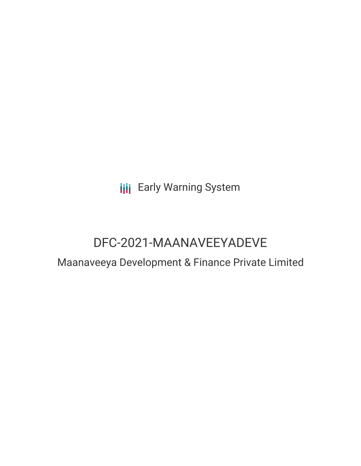**III** Early Warning System

# DFC-2021-MAANAVEEYADEVE

## Maanaveeya Development & Finance Private Limited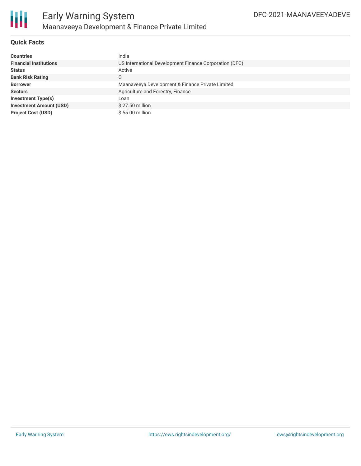

#### **Quick Facts**

| <b>Countries</b>               | India                                                  |
|--------------------------------|--------------------------------------------------------|
| <b>Financial Institutions</b>  | US International Development Finance Corporation (DFC) |
| <b>Status</b>                  | Active                                                 |
| <b>Bank Risk Rating</b>        | C.                                                     |
| <b>Borrower</b>                | Maanaveeya Development & Finance Private Limited       |
| <b>Sectors</b>                 | Agriculture and Forestry, Finance                      |
| Investment Type(s)             | Loan                                                   |
| <b>Investment Amount (USD)</b> | $$27.50$ million                                       |
| <b>Project Cost (USD)</b>      | $$55.00$ million                                       |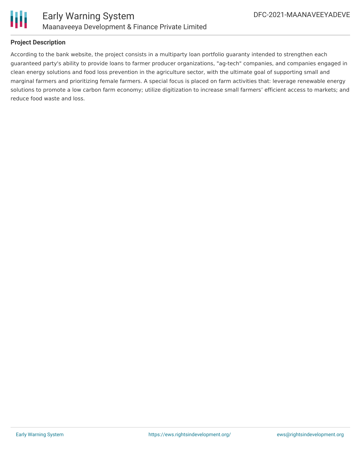

#### **Project Description**

According to the bank website, the project consists in a multiparty loan portfolio guaranty intended to strengthen each guaranteed party's ability to provide loans to farmer producer organizations, "ag-tech" companies, and companies engaged in clean energy solutions and food loss prevention in the agriculture sector, with the ultimate goal of supporting small and marginal farmers and prioritizing female farmers. A special focus is placed on farm activities that: leverage renewable energy solutions to promote a low carbon farm economy; utilize digitization to increase small farmers' efficient access to markets; and reduce food waste and loss.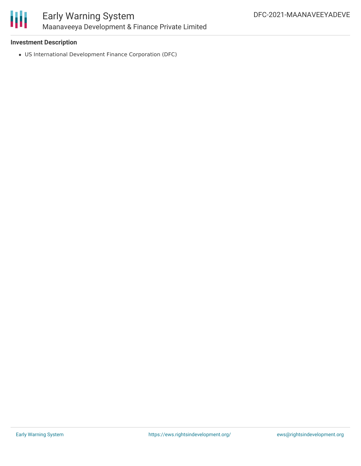

#### **Investment Description**

US International Development Finance Corporation (DFC)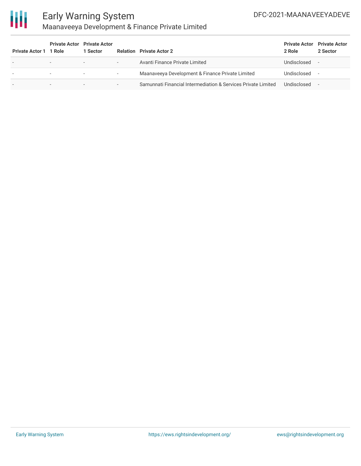

## Early Warning System Maanaveeya Development & Finance Private Limited

| <b>Private Actor 1 1 Role</b> |                          | <b>Private Actor</b> Private Actor<br>1 Sector |                          | <b>Relation</b> Private Actor 2                               | <b>Private Actor</b> Private Actor<br>2 Role | 2 Sector |
|-------------------------------|--------------------------|------------------------------------------------|--------------------------|---------------------------------------------------------------|----------------------------------------------|----------|
| ۰                             | $\sim$                   | $\overline{\phantom{0}}$                       | $\overline{\phantom{a}}$ | Avanti Finance Private Limited                                | Undisclosed                                  |          |
|                               |                          | $\overline{\phantom{a}}$                       | ٠                        | Maanaveeya Development & Finance Private Limited              | Undisclosed                                  |          |
|                               | $\overline{\phantom{a}}$ | $\overline{\phantom{a}}$                       | $\overline{\phantom{a}}$ | Samunnati Financial Intermediation & Services Private Limited | Undisclosed                                  |          |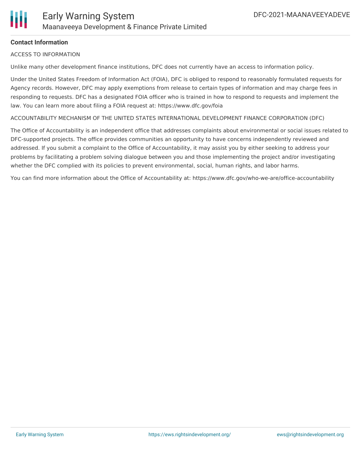

#### **Contact Information**

#### ACCESS TO INFORMATION

Unlike many other development finance institutions, DFC does not currently have an access to information policy.

Under the United States Freedom of Information Act (FOIA), DFC is obliged to respond to reasonably formulated requests for Agency records. However, DFC may apply exemptions from release to certain types of information and may charge fees in responding to requests. DFC has a designated FOIA officer who is trained in how to respond to requests and implement the law. You can learn more about filing a FOIA request at: https://www.dfc.gov/foia

ACCOUNTABILITY MECHANISM OF THE UNITED STATES INTERNATIONAL DEVELOPMENT FINANCE CORPORATION (DFC)

The Office of Accountability is an independent office that addresses complaints about environmental or social issues related to DFC-supported projects. The office provides communities an opportunity to have concerns independently reviewed and addressed. If you submit a complaint to the Office of Accountability, it may assist you by either seeking to address your problems by facilitating a problem solving dialogue between you and those implementing the project and/or investigating whether the DFC complied with its policies to prevent environmental, social, human rights, and labor harms.

You can find more information about the Office of Accountability at: https://www.dfc.gov/who-we-are/office-accountability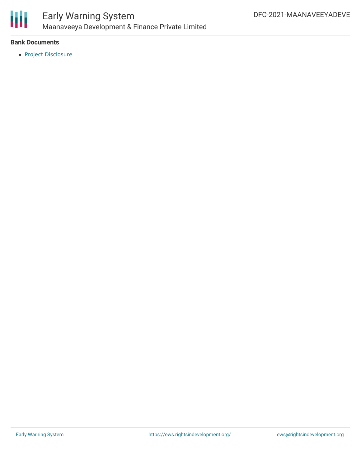

## Early Warning System Maanaveeya Development & Finance Private Limited

#### **Bank Documents**

• Project [Disclosure](https://www.dfc.gov/sites/default/files/media/documents/9000104490.pdf)